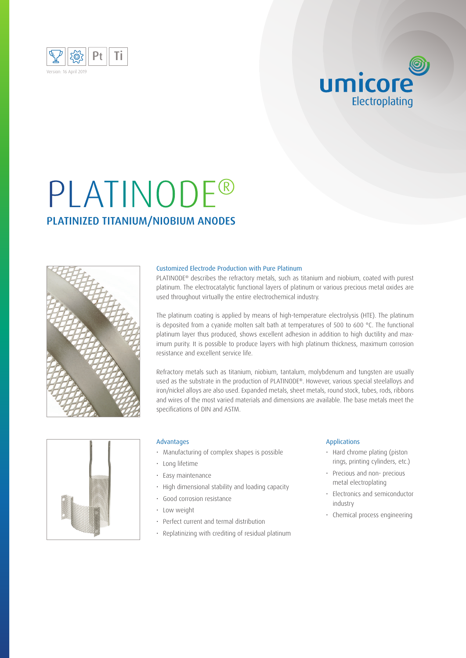

# PLATINODE® PLATINIZED TITANIUM/NIOBIUM ANODES



### Customized Electrode Production with Pure Platinum

PLATINODE<sup>®</sup> describes the refractory metals, such as titanium and niobium, coated with purest platinum. The electrocatalytic functional layers of platinum or various precious metal oxides are used throughout virtually the entire electrochemical industry.

The platinum coating is applied by means of high-temperature electrolysis (HTE). The platinum is deposited from a cyanide molten salt bath at temperatures of 500 to 600 °C. The functional platinum layer thus produced, shows excellent adhesion in addition to high ductility and maximum purity. It is possible to produce layers with high platinum thickness, maximum corrosion resistance and excellent service life.

Refractory metals such as titanium, niobium, tantalum, molybdenum and tungsten are usually used as the substrate in the production of PLATINODE®. However, various special steelalloys and iron/nickel alloys are also used. Expanded metals, sheet metals, round stock, tubes, rods, ribbons and wires of the most varied materials and dimensions are available. The base metals meet the specifications of DIN and ASTM.



#### Advantages

- Manufacturing of complex shapes is possible
- Long lifetime
- Easy maintenance
- High dimensional stability and loading capacity
- Good corrosion resistance
- Low weight
- Perfect current and termal distribution
- Replatinizing with crediting of residual platinum

### Applications

• Hard chrome plating (piston rings, printing cylinders, etc.)

umicore

Electroplating

- Precious and non- precious metal electroplating
- Electronics and semiconductor industry
- Chemical process engineering